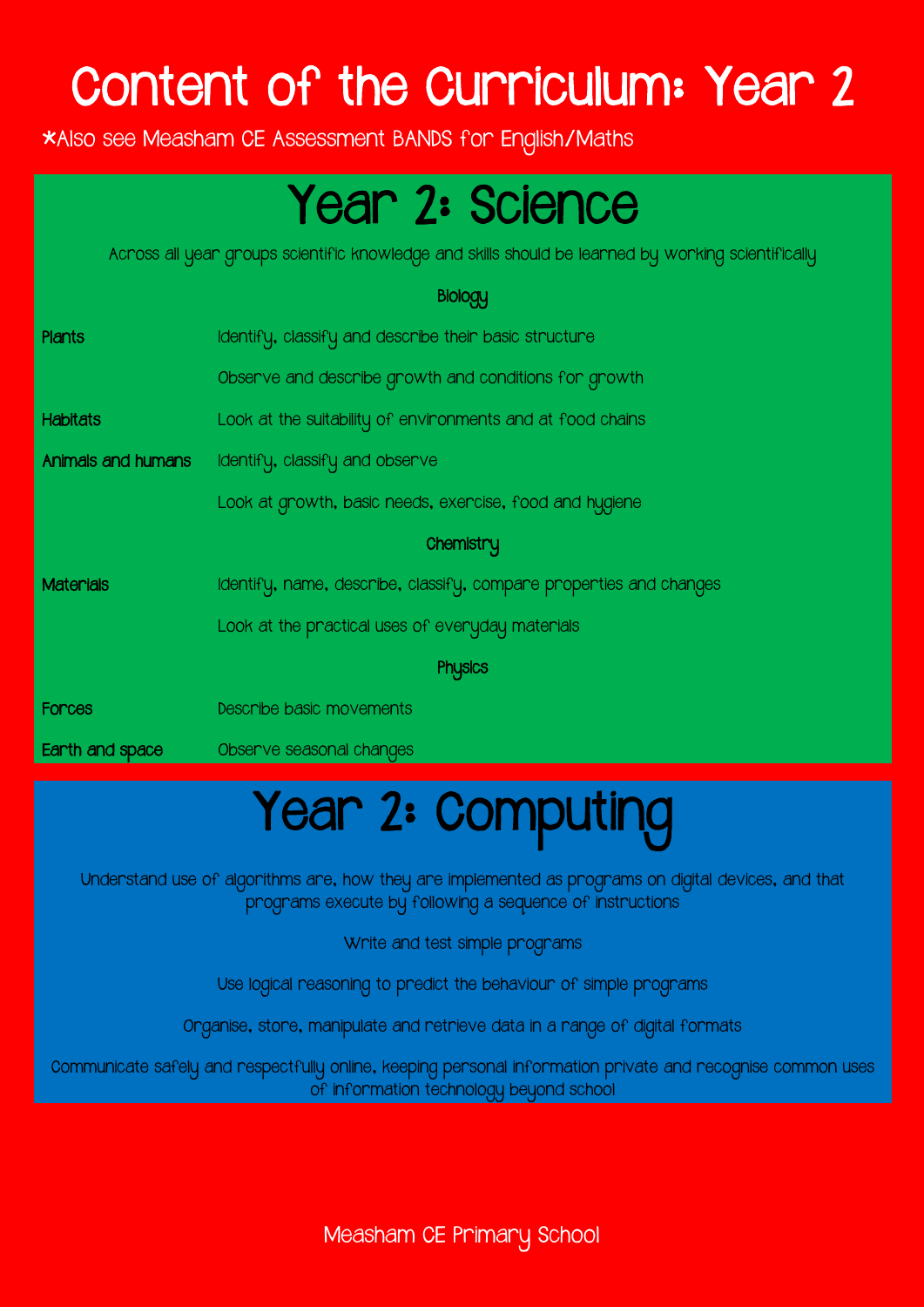# Content of the Curriculum: Year 2

\*Also see Measham CE Assessment BANDS for English/Maths

# Year 2: Science

Across all year groups scientific knowledge and skills should be learned by working scientifically

#### **Biology**

| <b>Plants</b>      | Identify, classify and describe their basic structure              |
|--------------------|--------------------------------------------------------------------|
|                    | Observe and describe growth and conditions for growth              |
| <b>Habitats</b>    | Look at the suitability of environments and at food chains         |
| Animals and humans | Identify, classify and observe                                     |
|                    | Look at growth, basic needs, exercise, food and hygiene            |
|                    | Chemistry                                                          |
| <b>Materials</b>   | Identify, name, describe, classify, compare properties and changes |
|                    | Look at the practical uses of everyday materials                   |
|                    | <b>Physics</b>                                                     |
| Forces             | Describe basic movements                                           |
| Earth and space    | Observe seasonal changes                                           |

# Year 2: Computing

Understand use of algorithms are, how they are implemented as programs on digital devices, and that programs execute by following a sequence of instructions

Write and test simple programs

Use logical reasoning to predict the behaviour of simple programs

Organise, store, manipulate and retrieve data in a range of digital formats

Communicate safely and respectfully online, keeping personal information private and recognise common uses of information technology beyond school

Measham CE Primary School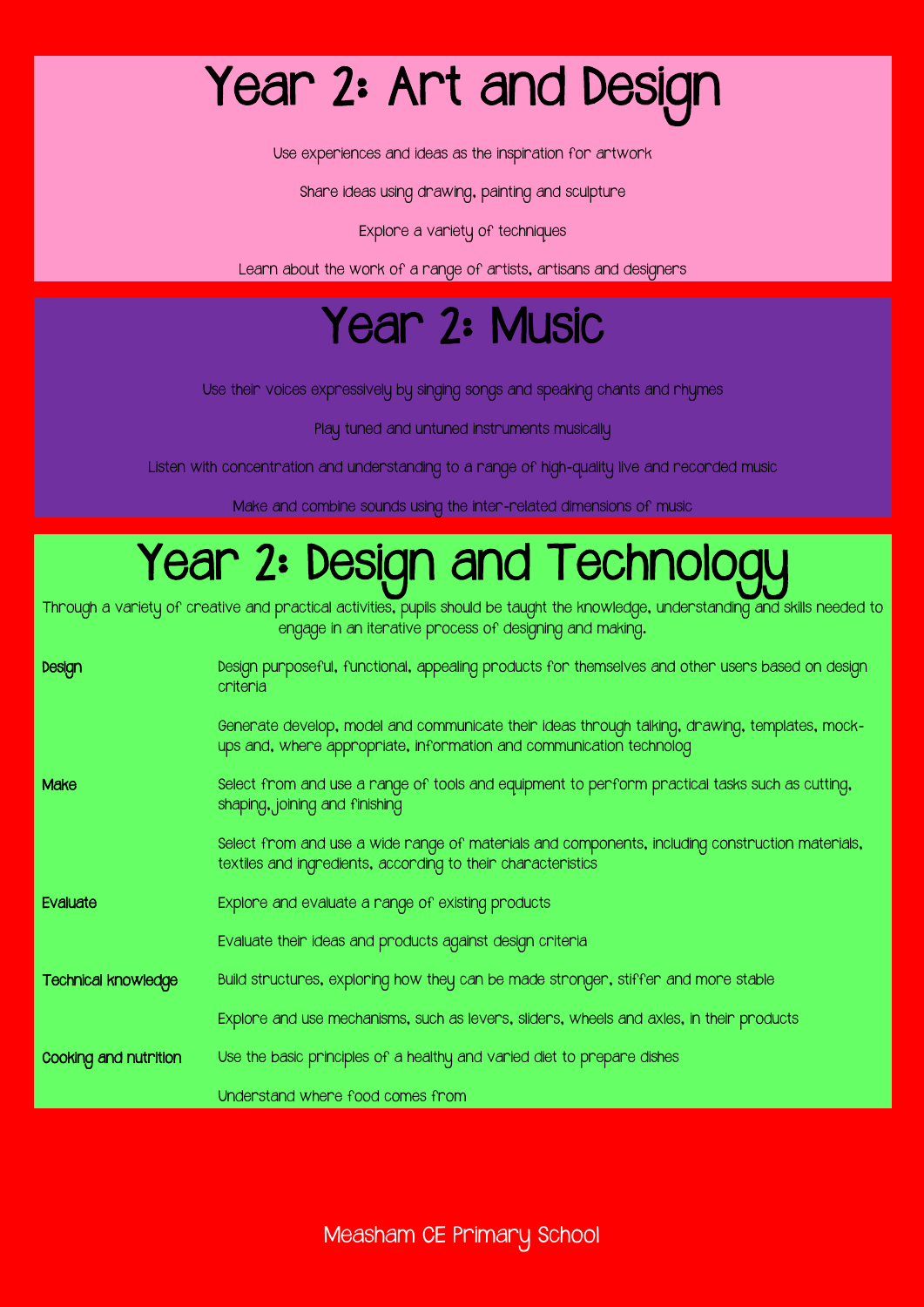# Year 2: Art and Design

Use experiences and ideas as the inspiration for artwork

Share ideas using drawing, painting and sculpture

Explore a variety of techniques

Learn about the work of a range of artists, artisans and designers

#### Year 2: Music

Use their voices expressively by singing songs and speaking chants and rhymes

Play tuned and untuned instruments musically

Listen with concentration and understanding to a range of high-quality live and recorded music

Make and combine sounds using the inter-related dimensions of music

## Year 2: Design and Technologu

Through a variety of creative and practical activities, pupils should be taught the knowledge, understanding and skills needed to engage in an iterative process of designing and making.

| Design                     | Design purposeful, functional, appealing products for themselves and other users based on design<br>criteria                                                          |
|----------------------------|-----------------------------------------------------------------------------------------------------------------------------------------------------------------------|
|                            | Generate develop, model and communicate their ideas through talking, drawing, templates, mock-<br>ups and, where appropriate, information and communication technolog |
| Make                       | Select from and use a range of tools and equipment to perform practical tasks such as cutting,<br>shaping, joining and finishing                                      |
|                            | Select from and use a wide range of materials and components, including construction materials,<br>textiles and ingredients, according to their characteristics       |
| Evaluate                   | Explore and evaluate a range of existing products                                                                                                                     |
|                            | Evaluate their ideas and products against design criteria                                                                                                             |
| <b>Technical knowledge</b> | Build structures, exploring how they can be made stronger, stiffer and more stable                                                                                    |
|                            | Explore and use mechanisms, such as levers, sliders, wheels and axles, in their products                                                                              |
| Cooking and nutrition      | Use the basic principles of a healthy and varied diet to prepare dishes                                                                                               |
|                            | Understand where food comes from                                                                                                                                      |